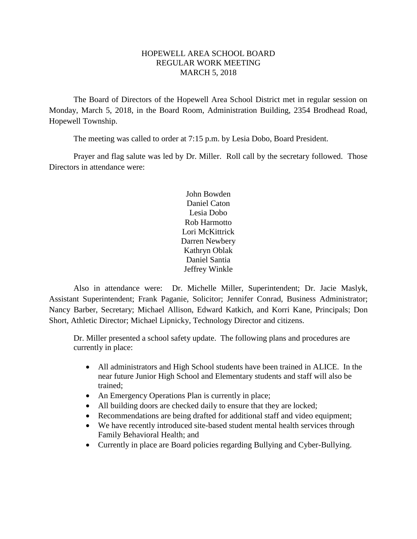## HOPEWELL AREA SCHOOL BOARD REGULAR WORK MEETING MARCH 5, 2018

The Board of Directors of the Hopewell Area School District met in regular session on Monday, March 5, 2018, in the Board Room, Administration Building, 2354 Brodhead Road, Hopewell Township.

The meeting was called to order at 7:15 p.m. by Lesia Dobo, Board President.

Prayer and flag salute was led by Dr. Miller. Roll call by the secretary followed. Those Directors in attendance were:

> John Bowden Daniel Caton Lesia Dobo Rob Harmotto Lori McKittrick Darren Newbery Kathryn Oblak Daniel Santia Jeffrey Winkle

Also in attendance were: Dr. Michelle Miller, Superintendent; Dr. Jacie Maslyk, Assistant Superintendent; Frank Paganie, Solicitor; Jennifer Conrad, Business Administrator; Nancy Barber, Secretary; Michael Allison, Edward Katkich, and Korri Kane, Principals; Don Short, Athletic Director; Michael Lipnicky, Technology Director and citizens.

Dr. Miller presented a school safety update. The following plans and procedures are currently in place:

- All administrators and High School students have been trained in ALICE. In the near future Junior High School and Elementary students and staff will also be trained;
- An Emergency Operations Plan is currently in place;
- All building doors are checked daily to ensure that they are locked;
- Recommendations are being drafted for additional staff and video equipment;
- We have recently introduced site-based student mental health services through Family Behavioral Health; and
- Currently in place are Board policies regarding Bullying and Cyber-Bullying.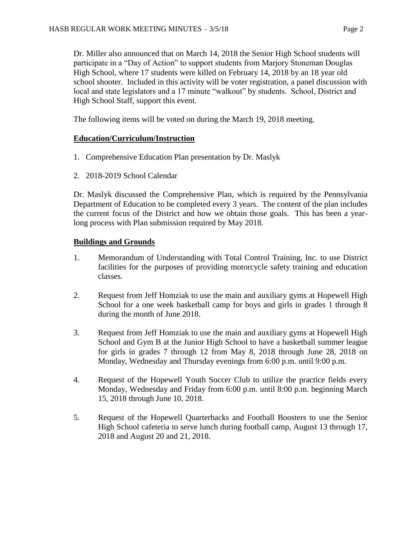Dr. Miller also announced that on March 14, 2018 the Senior High School students will participate in a "Day of Action" to support students from Marjory Stoneman Douglas High School, where 17 students were killed on February 14, 2018 by an 18 year old school shooter. Included in this activity will be voter registration, a panel discussion with local and state legislators and a 17 minute "walkout" by students. School, District and High School Staff, support this event.

The following items will be voted on during the March 19, 2018 meeting.

# **Education/Curriculum/Instruction**

- 1. Comprehensive Education Plan presentation by Dr. Maslyk
- 2. 2018-2019 School Calendar

Dr. Maslyk discussed the Comprehensive Plan, which is required by the Pennsylvania Department of Education to be completed every 3 years. The content of the plan includes the current focus of the District and how we obtain those goals. This has been a yearlong process with Plan submission required by May 2018.

# **Buildings and Grounds**

- 1. Memorandum of Understanding with Total Control Training, Inc. to use District facilities for the purposes of providing motorcycle safety training and education classes.
- 2. Request from Jeff Homziak to use the main and auxiliary gyms at Hopewell High School for a one week basketball camp for boys and girls in grades 1 through 8 during the month of June 2018.
- 3. Request from Jeff Homziak to use the main and auxiliary gyms at Hopewell High School and Gym B at the Junior High School to have a basketball summer league for girls in grades 7 through 12 from May 8, 2018 through June 28, 2018 on Monday, Wednesday and Thursday evenings from 6:00 p.m. until 9:00 p.m.
- 4. Request of the Hopewell Youth Soccer Club to utilize the practice fields every Monday, Wednesday and Friday from 6:00 p.m. until 8:00 p.m. beginning March 15, 2018 through June 10, 2018.
- 5. Request of the Hopewell Quarterbacks and Football Boosters to use the Senior High School cafeteria to serve lunch during football camp, August 13 through 17, 2018 and August 20 and 21, 2018.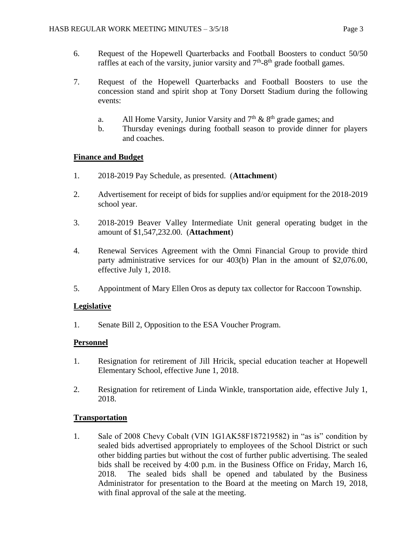- 6. Request of the Hopewell Quarterbacks and Football Boosters to conduct 50/50 raffles at each of the varsity, junior varsity and  $7<sup>th</sup>$ -8<sup>th</sup> grade football games.
- 7. Request of the Hopewell Quarterbacks and Football Boosters to use the concession stand and spirit shop at Tony Dorsett Stadium during the following events:
	- a. All Home Varsity, Junior Varsity and  $7<sup>th</sup>$  &  $8<sup>th</sup>$  grade games; and
	- b. Thursday evenings during football season to provide dinner for players and coaches.

# **Finance and Budget**

- 1. 2018-2019 Pay Schedule, as presented. (**Attachment**)
- 2. Advertisement for receipt of bids for supplies and/or equipment for the 2018-2019 school year.
- 3. 2018-2019 Beaver Valley Intermediate Unit general operating budget in the amount of \$1,547,232.00. (**Attachment**)
- 4. Renewal Services Agreement with the Omni Financial Group to provide third party administrative services for our 403(b) Plan in the amount of \$2,076.00, effective July 1, 2018.
- 5. Appointment of Mary Ellen Oros as deputy tax collector for Raccoon Township.

## **Legislative**

1. Senate Bill 2, Opposition to the ESA Voucher Program.

## **Personnel**

- 1. Resignation for retirement of Jill Hricik, special education teacher at Hopewell Elementary School, effective June 1, 2018.
- 2. Resignation for retirement of Linda Winkle, transportation aide, effective July 1, 2018.

# **Transportation**

1. Sale of 2008 Chevy Cobalt (VIN 1G1AK58F187219582) in "as is" condition by sealed bids advertised appropriately to employees of the School District or such other bidding parties but without the cost of further public advertising. The sealed bids shall be received by 4:00 p.m. in the Business Office on Friday, March 16, 2018. The sealed bids shall be opened and tabulated by the Business Administrator for presentation to the Board at the meeting on March 19, 2018, with final approval of the sale at the meeting.